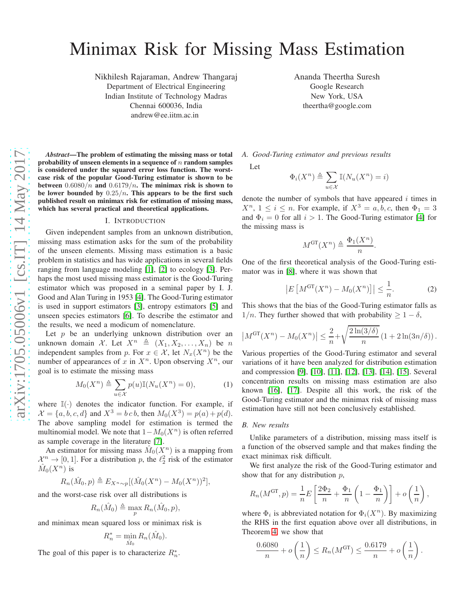# Minimax Risk for Missing Mass Estimation

Nikhilesh Rajaraman, Andrew Thangaraj Department of Electrical Engineering Indian Institute of Technology Madras Chennai 600036, India andrew@ee.iitm.ac.in

Ananda Theertha Suresh Google Research New York, USA theertha@google.com

*Abstract*—The problem of estimating the missing mass or total probability of unseen elements in a sequence of  $n$  random samples is considered under the squared error loss function. The worstcase risk of the popular Good-Turing estimator is shown to be between  $0.6080/n$  and  $0.6179/n$ . The minimax risk is shown to be lower bounded by  $0.25/n$ . This appears to be the first such published result on minimax risk for estimation of missing mass, which has several practical and theoretical applications.

#### I. INTRODUCTION

Given independent samples from an unknown distribution, missing mass estimation asks for the sum of the probability of the unseen elements. Missing mass estimation is a basic problem in statistics and has wide applications in several fields ranging from language modeling [\[1\]](#page-4-0), [\[2\]](#page-4-1) to ecology [\[3\]](#page-4-2). Perhaps the most used missing mass estimator is the Good-Turing estimator which was proposed in a seminal paper by I. J. Good and Alan Turing in 1953 [\[4\]](#page-4-3). The Good-Turing estimator is used in support estimators [\[3\]](#page-4-2), entropy estimators [\[5\]](#page-4-4) and unseen species estimators [\[6\]](#page-4-5). To describe the estimator and the results, we need a modicum of nomenclature.

Let  $p$  be an underlying unknown distribution over an unknown domain X. Let  $X^n \triangleq (X_1, X_2, \ldots, X_n)$  be n independent samples from p. For  $x \in \mathcal{X}$ , let  $N_x(X^n)$  be the number of appearances of x in  $X<sup>n</sup>$ . Upon observing  $X<sup>n</sup>$ , our goal is to estimate the missing mass

$$
M_0(X^n) \triangleq \sum_{u \in \mathcal{X}} p(u) \mathbb{I}(N_u(X^n) = 0), \tag{1}
$$

where  $\mathbb{I}(\cdot)$  denotes the indicator function. For example, if  $\mathcal{X} = \{a, b, c, d\}$  and  $X^3 = b c b$ , then  $M_0(X^3) = p(a) + p(d)$ . The above sampling model for estimation is termed the multinomial model. We note that  $1-M_0(X^n)$  is often referred as sample coverage in the literature [\[7\]](#page-4-6).

An estimator for missing mass  $\hat{M}_0(X^n)$  is a mapping from  $\mathcal{X}^n \to [0,1]$ . For a distribution p, the  $\ell_2^2$  risk of the estimator  $\hat M_0(X^n)$  is

$$
R_n(\hat{M}_0, p) \triangleq E_{X^n \sim p} [(\hat{M}_0(X^n) - M_0(X^n))^2],
$$

and the worst-case risk over all distributions is

$$
R_n(\hat{M}_0) \triangleq \max_p R_n(\hat{M}_0, p),
$$

and minimax mean squared loss or minimax risk is

$$
R_n^* = \min_{\hat{M}_0} R_n(\hat{M}_0).
$$

The goal of this paper is to characterize  $R_n^*$ .

*A. Good-Turing estimator and previous results*

Let

$$
\Phi_i(X^n) \triangleq \sum_{u \in \mathcal{X}} \mathbb{I}(N_u(X^n) = i)
$$

denote the number of symbols that have appeared  $i$  times in  $X^n$ ,  $1 \leq i \leq n$ . For example, if  $X^3 = a, b, c$ , then  $\Phi_1 = 3$ and  $\Phi_i = 0$  for all  $i > 1$ . The Good-Turing estimator [\[4\]](#page-4-3) for the missing mass is

$$
M^{\text{GT}}(X^n) \triangleq \frac{\Phi_1(X^n)}{n}
$$

One of the first theoretical analysis of the Good-Turing estimator was in [\[8\]](#page-4-7), where it was shown that

$$
\left| E\left[M^{\text{GT}}(X^n) - M_0(X^n)\right] \right| \le \frac{1}{n}.\tag{2}
$$

.

This shows that the bias of the Good-Turing estimator falls as  $1/n$ . They further showed that with probability  $\geq 1 - \delta$ ,

$$
|M^{\mathrm{GT}}(X^n) - M_0(X^n)| \leq \frac{2}{n} + \sqrt{\frac{2\ln(3/\delta)}{n}} \left(1 + 2\ln(3n/\delta)\right).
$$

Various properties of the Good-Turing estimator and several variations of it have been analyzed for distribution estimation and compression [\[9\]](#page-4-8), [\[10\]](#page-4-9), [\[11\]](#page-4-10), [\[12\]](#page-4-11), [\[13\]](#page-4-12), [\[14\]](#page-4-13), [\[15\]](#page-4-14). Several concentration results on missing mass estimation are also known [\[16\]](#page-4-15), [\[17\]](#page-4-16). Despite all this work, the risk of the Good-Turing estimator and the minimax risk of missing mass estimation have still not been conclusively established.

#### *B. New results*

Unlike parameters of a distribution, missing mass itself is a function of the observed sample and that makes finding the exact minimax risk difficult.

We first analyze the risk of the Good-Turing estimator and show that for any distribution  $p$ ,

$$
R_n(M^{\text{GT}}, p) = \frac{1}{n} E\left[\frac{2\Phi_2}{n} + \frac{\Phi_1}{n} \left(1 - \frac{\Phi_1}{n}\right)\right] + o\left(\frac{1}{n}\right),
$$

where  $\Phi_i$  is abbreviated notation for  $\Phi_i(X^n)$ . By maximizing the RHS in the first equation above over all distributions, in Theorem [4,](#page-2-0) we show that

$$
\frac{0.6080}{n} + o\left(\frac{1}{n}\right) \le R_n(M^{\text{GT}}) \le \frac{0.6179}{n} + o\left(\frac{1}{n}\right).
$$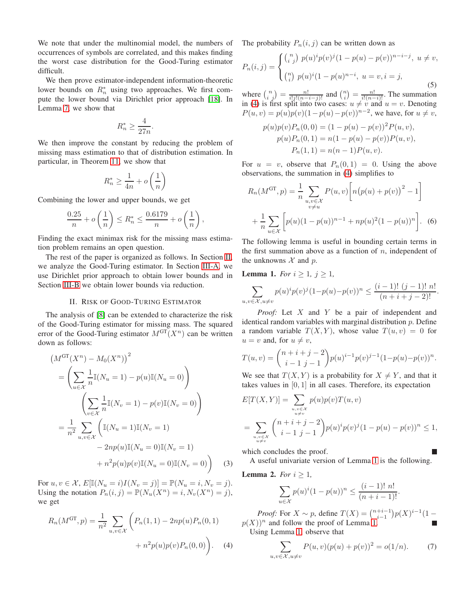We note that under the multinomial model, the numbers of occurrences of symbols are correlated, and this makes finding the worst case distribution for the Good-Turing estimator difficult.

We then prove estimator-independent information-theoretic lower bounds on  $R_n^*$  using two approaches. We first compute the lower bound via Dirichlet prior approach [\[18\]](#page-4-17). In Lemma [7,](#page-3-0) we show that

$$
R_n^* \ge \frac{4}{27n}.
$$

We then improve the constant by reducing the problem of missing mass estimation to that of distribution estimation. In particular, in Theorem [11,](#page-4-18) we show that

$$
R_n^* \ge \frac{1}{4n} + o\left(\frac{1}{n}\right)
$$

Combining the lower and upper bounds, we get

$$
\frac{0.25}{n} + o\left(\frac{1}{n}\right) \le R_n^* \le \frac{0.6179}{n} + o\left(\frac{1}{n}\right),
$$

Finding the exact minimax risk for the missing mass estimation problem remains an open question.

The rest of the paper is organized as follows. In Section [II,](#page-1-0) we analyze the Good-Turing estimator. In Section [III-A,](#page-3-1) we use Dirichlet prior approach to obtain lower bounds and in Section [III-B](#page-3-2) we obtain lower bounds via reduction.

#### II. RISK OF GOOD-TURING ESTIMATOR

<span id="page-1-0"></span>The analysis of [\[8\]](#page-4-7) can be extended to characterize the risk of the Good-Turing estimator for missing mass. The squared error of the Good-Turing estimator  $M^{GT}(X^n)$  can be written down as follows:

$$
(M^{GT}(X^n) - M_0(X^n))^2
$$
  
=  $\left(\sum_{u \in \mathcal{X}} \frac{1}{n} \mathbb{I}(N_u = 1) - p(u)\mathbb{I}(N_u = 0)\right)$   

$$
\left(\sum_{v \in \mathcal{X}} \frac{1}{n} \mathbb{I}(N_v = 1) - p(v)\mathbb{I}(N_v = 0)\right)
$$
  
=  $\frac{1}{n^2} \sum_{u,v \in \mathcal{X}} \left(\mathbb{I}(N_u = 1)\mathbb{I}(N_v = 1) - 2np(u)\mathbb{I}(N_u = 0)\mathbb{I}(N_v = 1) - np(u)p(v)\mathbb{I}(N_u = 0)\mathbb{I}(N_v = 0)\right)$  (3)

For  $u, v \in \mathcal{X}$ ,  $E[\mathbb{I}(N_u = i)I(N_v = j)] = \mathbb{P}(N_u = i, N_v = j)$ . Using the notation  $P_n(i, j) = \mathbb{P}(N_u(X^n) = i, N_v(X^n) = j),$ we get

$$
R_n(M^{\text{GT}}, p) = \frac{1}{n^2} \sum_{u,v \in \mathcal{X}} \left( P_n(1,1) - 2np(u)P_n(0,1) + n^2 p(u)p(v)P_n(0,0) \right). \tag{4}
$$

The probability  $P_n(i, j)$  can be written down as

$$
P_n(i,j) = \begin{cases} {n \choose i} \ p(u)^i p(v)^j (1 - p(u) - p(v))^{n-i-j}, \ u \neq v, \\ {n \choose i} \ p(u)^i (1 - p(u)^{n-i}, \ u = v, i = j, \end{cases}
$$
(5)

where  $\binom{n}{i j} = \frac{n!}{i!j!(n-i-j)!}$  and  $\binom{n}{i} = \frac{n!}{i!(n-i)!}$ . The summation in [\(4\)](#page-1-1) is first split into two cases:  $u \neq v$  and  $u = v$ . Denoting  $P(u, v) = p(u)p(v)(1 - p(u) - p(v))^{n-2}$ , we have, for  $u \neq v$ ,

$$
p(u)p(v)P_n(0,0) = (1 - p(u) - p(v))^2 P(u, v),
$$
  
\n
$$
p(u)P_n(0,1) = n(1 - p(u) - p(v))P(u, v),
$$
  
\n
$$
P_n(1,1) = n(n - 1)P(u, v).
$$

For  $u = v$ , observe that  $P_n(0, 1) = 0$ . Using the above observations, the summation in [\(4\)](#page-1-1) simplifies to

$$
R_n(M^{\text{GT}}, p) = \frac{1}{n} \sum_{\substack{u, v \in \mathcal{X} \\ v \neq u}} P(u, v) \left[ n (p(u) + p(v))^2 - 1 \right] + \frac{1}{n} \sum_{u \in \mathcal{X}} \left[ p(u)(1 - p(u))^{n-1} + np(u)^2 (1 - p(u))^n \right].
$$
 (6)

The following lemma is useful in bounding certain terms in the first summation above as a function of  $n$ , independent of the unknowns  $X$  and  $p$ .

<span id="page-1-2"></span>**Lemma 1.** *For*  $i \geq 1$ *,*  $j \geq 1$ *,* 

$$
\sum_{u,v \in \mathcal{X}, u \neq v} p(u)^{i} p(v)^{j} (1 - p(u) - p(v))^{n} \leq \frac{(i-1)! (j-1)! n!}{(n+i+j-2)!}.
$$

*Proof:* Let X and Y be a pair of independent and identical random variables with marginal distribution  $p$ . Define a random variable  $T(X, Y)$ , whose value  $T(u, v) = 0$  for  $u = v$  and, for  $u \neq v$ ,

$$
T(u,v) = {n+i+j-2 \choose i-1, j-1} p(u)^{i-1} p(v)^{j-1} (1-p(u)-p(v))^n.
$$

We see that  $T(X, Y)$  is a probability for  $X \neq Y$ , and that it takes values in [0, 1] in all cases. Therefore, its expectation

$$
E[T(X, Y)] = \sum_{\substack{u, v \in X \\ u \neq v}} p(u)p(v)T(u, v)
$$
  
= 
$$
\sum_{\substack{u, v \in X \\ u \neq v}} {n + i + j - 2 \choose i - 1, j - 1} p(u)^{i} p(v)^{j} (1 - p(u) - p(v))^{n} \le 1,
$$

which concludes the proof.

A useful univariate version of Lemma [1](#page-1-2) is the following.

<span id="page-1-3"></span>**Lemma 2.** *For*  $i > 1$ ,

$$
\sum_{u \in \mathcal{X}} p(u)^{i} (1 - p(u))^{n} \le \frac{(i-1)! \ n!}{(n+i-1)!}.
$$

<span id="page-1-1"></span>*Proof:* For  $X \sim p$ , define  $T(X) = {n+i-1 \choose i-1} p(X)^{i-1} (1$  $p(X)$ <sup>n</sup> and follow the proof of Lemma [1.](#page-1-2) Using Lemma [1,](#page-1-2) observe that

$$
\sum_{u,v \in \mathcal{X}, u \neq v} P(u,v)(p(u) + p(v))^2 = o(1/n). \tag{7}
$$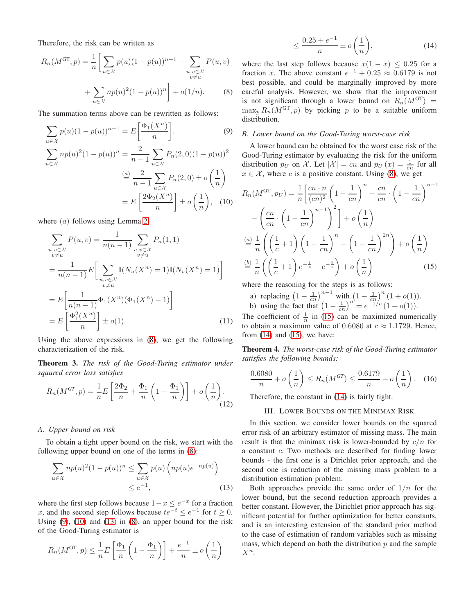Therefore, the risk can be written as

$$
R_n(M^{\text{GT}}, p) = \frac{1}{n} \bigg[ \sum_{u \in \mathcal{X}} p(u)(1 - p(u))^{n-1} - \sum_{\substack{u, v \in \mathcal{X} \\ v \neq u}} P(u, v) + \sum_{u \in \mathcal{X}} np(u)^2 (1 - p(u))^n \bigg] + o(1/n). \tag{8}
$$

The summation terms above can be rewritten as follows:

$$
\sum_{u \in \mathcal{X}} p(u)(1 - p(u))^{n-1} = E\left[\frac{\Phi_1(X^n)}{n}\right].
$$
\n(9)  
\n
$$
\sum_{u \in \mathcal{X}} np(u)^2 (1 - p(u))^n = \frac{2}{n-1} \sum_{u \in \mathcal{X}} P_n(2,0)(1 - p(u))^2
$$
\n
$$
\stackrel{(a)}{=} \frac{2}{n-1} \sum_{u \in \mathcal{X}} P_n(2,0) \pm o\left(\frac{1}{n}\right)
$$
\n
$$
= E\left[\frac{2\Phi_2(X^n)}{n}\right] \pm o\left(\frac{1}{n}\right),
$$
\n(10)

where  $(a)$  follows using Lemma [2.](#page-1-3)

$$
\sum_{\substack{u,v \in \mathcal{X} \\ v \neq u}} P(u,v) = \frac{1}{n(n-1)} \sum_{\substack{u,v \in \mathcal{X} \\ v \neq u}} P_n(1,1)
$$
\n
$$
= \frac{1}{n(n-1)} E\Big[\sum_{\substack{u,v \in \mathcal{X} \\ v \neq u}} \mathbb{I}(N_u(X^n) = 1)\mathbb{I}(N_v(X^n) = 1)\Big]
$$
\n
$$
= E\Big[\frac{1}{n(n-1)} \Phi_1(X^n)(\Phi_1(X^n) - 1)\Big]
$$
\n
$$
= E\Big[\frac{\Phi_1^2(X^n)}{n}\Big] \pm o(1). \tag{11}
$$

Using the above expressions in [\(8\)](#page-2-1), we get the following characterization of the risk.

Theorem 3. *The risk of the Good-Turing estimator under squared error loss satisfies*

$$
R_n(M^{GT}, p) = \frac{1}{n} E\left[\frac{2\Phi_2}{n} + \frac{\Phi_1}{n} \left(1 - \frac{\Phi_1}{n}\right)\right] + o\left(\frac{1}{n}\right).
$$
\n(12)

# *A. Upper bound on risk*

To obtain a tight upper bound on the risk, we start with the following upper bound on one of the terms in [\(8\)](#page-2-1):

$$
\sum_{u \in \mathcal{X}} np(u)^2 (1 - p(u))^n \le \sum_{u \in \mathcal{X}} p(u) \left( np(u) e^{-np(u)} \right)
$$
  

$$
\le e^{-1}, \tag{13}
$$

where the first step follows because  $1-x \leq e^{-x}$  for a fraction x, and the second step follows because  $te^{-t} \leq e^{-1}$  for  $t \geq 0$ . Using  $(9)$ ,  $(10)$  and  $(13)$  in  $(8)$ , an upper bound for the risk of the Good-Turing estimator is

$$
R_n(M^{\text{GT}}, p) \le \frac{1}{n} E\left[\frac{\Phi_1}{n}\left(1 - \frac{\Phi_1}{n}\right)\right] + \frac{e^{-1}}{n} \pm o\left(\frac{1}{n}\right)
$$

<span id="page-2-6"></span>
$$
\leq \frac{0.25 + e^{-1}}{n} \pm o\left(\frac{1}{n}\right),\tag{14}
$$

<span id="page-2-1"></span>where the last step follows because  $x(1 - x) \le 0.25$  for a fraction x. The above constant  $e^{-1} + 0.25 \approx 0.6179$  is not best possible, and could be marginally improved by more careful analysis. However, we show that the improvement is not significant through a lower bound on  $R_n(M^{GT})$  =  $\max_p R_n(M^{GT}, p)$  by picking p to be a suitable uniform distribution.

#### <span id="page-2-2"></span>*B. Lower bound on the Good-Turing worst-case risk*

A lower bound can be obtained for the worst case risk of the Good-Turing estimator by evaluating the risk for the uniform distribution  $p_U$  on X. Let  $|\mathcal{X}| = cn$  and  $p_U(x) = \frac{1}{cn}$  for all  $x \in \mathcal{X}$ , where c is a positive constant. Using [\(8\)](#page-2-1), we get

<span id="page-2-3"></span>
$$
R_n(M^{\text{GT}}, p_U) = \frac{1}{n} \left[ \frac{cn \cdot n}{(cn)^2} \left( 1 - \frac{1}{cn} \right)^n + \frac{cn}{cn} \cdot \left( 1 - \frac{1}{cn} \right)^{n-1} - \left( \frac{cn}{cn} \cdot \left( 1 - \frac{1}{cn} \right)^{n-1} \right)^2 \right] + o\left( \frac{1}{n} \right)
$$
  

$$
\stackrel{(a)}{=} \frac{1}{n} \left( \left( \frac{1}{c} + 1 \right) \left( 1 - \frac{1}{cn} \right)^n - \left( 1 - \frac{1}{cn} \right)^{2n} \right) + o\left( \frac{1}{n} \right)
$$
  

$$
\stackrel{(b)}{=} \frac{1}{n} \left( \left( \frac{1}{c} + 1 \right) e^{-\frac{1}{c}} - e^{-\frac{2}{c}} \right) + o\left( \frac{1}{n} \right)
$$
(15)

where the reasoning for the steps is as follows:

<span id="page-2-5"></span>a) replacing  $\left(1 - \frac{1}{cn}\right)^{n-1}$  with  $\left(1 - \frac{1}{cn}\right)^n (1 + o(1)).$ b) using the fact that  $(1 - \frac{1}{cn})^n = e^{-1/c} (1 + o(1)).$ 

The coefficient of  $\frac{1}{n}$  in [\(15\)](#page-2-5) can be maximized numerically to obtain a maximum value of 0.6080 at  $c \approx 1.1729$ . Hence, from  $(14)$  and  $(15)$ , we have:

<span id="page-2-0"></span>Theorem 4. *The worst-case risk of the Good-Turing estimator satisfies the following bounds:*

$$
\frac{0.6080}{n} + o\left(\frac{1}{n}\right) \le R_n(M^{GT}) \le \frac{0.6179}{n} + o\left(\frac{1}{n}\right). \quad (16)
$$

Therefore, the constant in [\(14\)](#page-2-6) is fairly tight.

# III. LOWER BOUNDS ON THE MINIMAX RISK

In this section, we consider lower bounds on the squared error risk of an arbitrary estimator of missing mass. The main result is that the minimax risk is lower-bounded by  $c/n$  for a constant c. Two methods are described for finding lower bounds - the first one is a Dirichlet prior approach, and the second one is reduction of the missing mass problem to a distribution estimation problem.

<span id="page-2-4"></span>Both approaches provide the same order of  $1/n$  for the lower bound, but the second reduction approach provides a better constant. However, the Dirichlet prior approach has significant potential for further optimization for better constants, and is an interesting extension of the standard prior method to the case of estimation of random variables such as missing mass, which depend on both the distribution  $p$  and the sample  $X^n$ .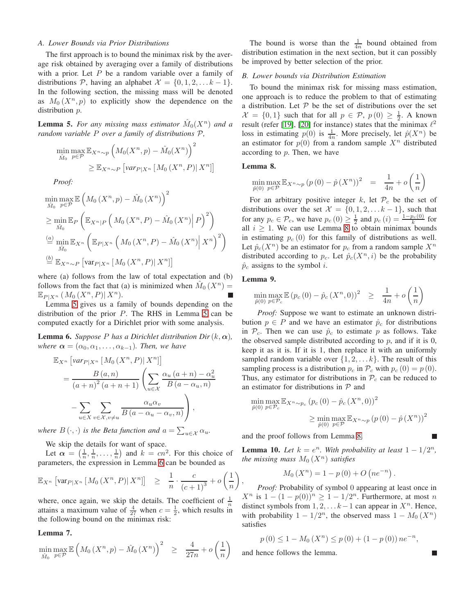# <span id="page-3-1"></span>*A. Lower Bounds via Prior Distributions*

The first approach is to bound the minimax risk by the average risk obtained by averaging over a family of distributions with a prior. Let  $P$  be a random variable over a family of distributions P, having an alphabet  $\mathcal{X} = \{0, 1, 2, \ldots k - 1\}.$ In the following section, the missing mass will be denoted as  $M_0(X^n, p)$  to explicitly show the dependence on the distribution  $p$ .

<span id="page-3-3"></span>**Lemma 5.** For any missing mass estimator  $\hat{M}_0(X^n)$  and a *random variable* P *over a family of distributions* P*,*

$$
\min_{\hat{M}_0} \max_{p \in \mathcal{P}} \mathbb{E}_{X^n \sim p} \left( M_0(X^n, p) - \hat{M}_0(X^n) \right)^2
$$
  
 
$$
\geq \mathbb{E}_{X^n \sim P} \left[ \text{var}_{P|X^n} \left[ M_0(X^n, P) | X^n \right] \right]
$$

*Proof:*

$$
\min_{\hat{M}_0} \max_{p \in \mathcal{P}} \mathbb{E} \left( M_0 \left( X^n, p \right) - \hat{M}_0 \left( X^n \right) \right)^2
$$
\n
$$
\geq \min_{\hat{M}_0} \mathbb{E}_P \left( \mathbb{E}_{X^n | P} \left( M_0 \left( X^n, P \right) - \hat{M}_0 \left( X^n \right) \middle| P \right)^2 \right)
$$
\n
$$
\stackrel{(a)}{=} \min_{\hat{M}_0} \mathbb{E}_{X^n} \left( \mathbb{E}_{P | X^n} \left( M_0 \left( X^n, P \right) - \hat{M}_0 \left( X^n \right) \middle| X^n \right)^2 \right)
$$
\n
$$
\stackrel{(b)}{=} \mathbb{E}_{X^n \sim P} \left[ \text{var}_{P | X^n} \left[ M_0 \left( X^n, P \right) \middle| X^n \right] \right]
$$

where (a) follows from the law of total expectation and (b) follows from the fact that (a) is minimized when  $\hat{M}_0(X^n)$  =  $\mathbb{E}_{P \mid X^n} \left( M_0 \left( X^n, P \right) \mid X^n \right).$ 

Lemma [5](#page-3-3) gives us a family of bounds depending on the distribution of the prior  $P$ . The RHS in Lemma [5](#page-3-3) can be computed exactly for a Dirichlet prior with some analysis.

<span id="page-3-4"></span>**Lemma 6.** *Suppose P* has a Dirichlet distribution Dir( $k, \alpha$ ), *where*  $\alpha = (\alpha_0, \alpha_1, \ldots, \alpha_{k-1})$ *. Then, we have* 

$$
\mathbb{E}_{X^n} \left[ \text{var}_{P|X^n} \left[ M_0 \left( X^n, P \right) \mid X^n \right] \right] \n= \frac{B(a, n)}{(a + n)^2 (a + n + 1)} \left( \sum_{u \in \mathcal{X}} \frac{\alpha_u (a + n) - \alpha_u^2}{B(a - \alpha_u, n)} \right) \n- \sum_{u \in X} \sum_{v \in \mathcal{X}, v \neq u} \frac{\alpha_u \alpha_v}{B(a - \alpha_u - \alpha_v, n)} \right),
$$

*where*  $B(\cdot, \cdot)$  *is the Beta function and*  $a = \sum_{u \in \mathcal{X}} \alpha_u$ *.* 

We skip the details for want of space.

Let  $\alpha = \left(\frac{1}{n}, \frac{1}{n}, \dots, \frac{1}{n}\right)$  and  $k = cn^2$ . For this choice of parameters, the expression in Lemma [6](#page-3-4) can be bounded as

$$
\mathbb{E}_{X^n} \left[ \text{var}_{P|X^n} \left[ M_0 \left( X^n, P \right) | X^n \right] \right] \geq \frac{1}{n} \cdot \frac{c}{\left( c+1 \right)^3} + o\left( \frac{1}{n} \right)
$$

where, once again, we skip the details. The coefficient of  $\frac{1}{n}$ attains a maximum value of  $\frac{4}{27}$  when  $c = \frac{1}{2}$ , which results in the following bound on the minimax risk:

#### <span id="page-3-0"></span>Lemma 7.

$$
\min_{\hat{M}_0} \max_{p \in \mathcal{P}} \mathbb{E}\left(M_0\left(X^n, p\right) - \hat{M}_0\left(X^n\right)\right)^2 \geq \frac{4}{27n} + o\left(\frac{1}{n}\right)
$$

The bound is worse than the  $\frac{1}{4n}$  bound obtained from distribution estimation in the next section, but it can possibly be improved by better selection of the prior.

# <span id="page-3-2"></span>*B. Lower bounds via Distribution Estimation*

To bound the minimax risk for missing mass estimation, one approach is to reduce the problem to that of estimating a distribution. Let  $P$  be the set of distributions over the set  $\mathcal{X} = \{0, 1\}$  such that for all  $p \in \mathcal{P}$ ,  $p(0) \geq \frac{1}{2}$ . A known result (refer [\[19\]](#page-4-19), [\[20\]](#page-4-20) for instance) states that the minimax  $\ell^2$ loss in estimating  $p(0)$  is  $\frac{1}{4n}$ . More precisely, let  $\hat{p}(X^n)$  be an estimator for  $p(0)$  from a random sample  $X<sup>n</sup>$  distributed according to  $p$ . Then, we have

# <span id="page-3-5"></span>Lemma 8.

$$
\min_{\hat{p}(0)} \max_{p \in \mathcal{P}} \mathbb{E}_{X^n \sim p} (p(0) - \hat{p}(X^n))^2 = \frac{1}{4n} + o\left(\frac{1}{n}\right)
$$

For an arbitrary positive integer  $k$ , let  $\mathcal{P}_c$  be the set of distributions over the set  $\mathcal{X} = \{0, 1, 2, \ldots k-1\}$ , such that for any  $p_c \in \mathcal{P}_c$ , we have  $p_c(0) \geq \frac{1}{2}$  and  $p_c(i) = \frac{1 - p_c(0)}{k}$  for all  $i \geq 1$ . We can use Lemma [8](#page-3-5) to obtain minimax bounds in estimating  $p_c(0)$  for this family of distributions as well. Let  $\hat{p}_c(X^n)$  be an estimator for  $p_c$  from a random sample  $X^n$ distributed according to  $p_c$ . Let  $\hat{p}_c(X^n, i)$  be the probability  $\hat{p}_c$  assigns to the symbol *i*.

# <span id="page-3-6"></span>Lemma 9.

 $\hat{p}$ 

$$
\min_{\hat{p}(0)} \max_{p \in \mathcal{P}_c} \mathbb{E} (p_c(0) - \hat{p}_c(X^n, 0))^2 \geq \frac{1}{4n} + o\left(\frac{1}{n}\right)
$$

*Proof:* Suppose we want to estimate an unknown distribution  $p \in P$  and we have an estimator  $\hat{p}_c$  for distributions in  $\mathcal{P}_c$ . Then we can use  $\hat{p}_c$  to estimate p as follows. Take the observed sample distributed according to  $p$ , and if it is 0, keep it as it is. If it is 1, then replace it with an uniformly sampled random variable over  $\{1, 2, \ldots k\}$ . The result of this sampling process is a distribution  $p_c$  in  $\mathcal{P}_c$  with  $p_c$  (0) =  $p$  (0). Thus, any estimator for distributions in  $P_c$  can be reduced to an estimator for distributions in  $P$  and

$$
\min_{\hat{p}(0)} \max_{p \in \mathcal{P}_c} \mathbb{E}_{X^n \sim p_c} (p_c(0) - \hat{p}_c(X^n, 0))^2
$$

$$
\geq \min_{\hat{p}(0)} \max_{p \in \mathcal{P}} \mathbb{E}_{X^n \sim p} (p(0) - \hat{p}(X^n))^2
$$

and the proof follows from Lemma [8.](#page-3-5)

<span id="page-3-7"></span>**Lemma 10.** Let  $k = e^n$ . With probability at least  $1 - 1/2^n$ , *the missing mass*  $M_0(X^n)$  *satisfies* 

$$
M_0(X^n) = 1 - p(0) + O(ne^{-n}).
$$

, *Proof:* Probability of symbol 0 appearing at least once in  $X^n$  is  $1 - (1 - p(0))^n \geq 1 - 1/2^n$ . Furthermore, at most n distinct symbols from  $1, 2, \ldots k-1$  can appear in  $X<sup>n</sup>$ . Hence, with probability  $1 - 1/2^n$ , the observed mass  $1 - M_0(X^n)$ satisfies

$$
p(0) \le 1 - M_0(X^n) \le p(0) + (1 - p(0)) n e^{-n},
$$

and hence follows the lemma.

П